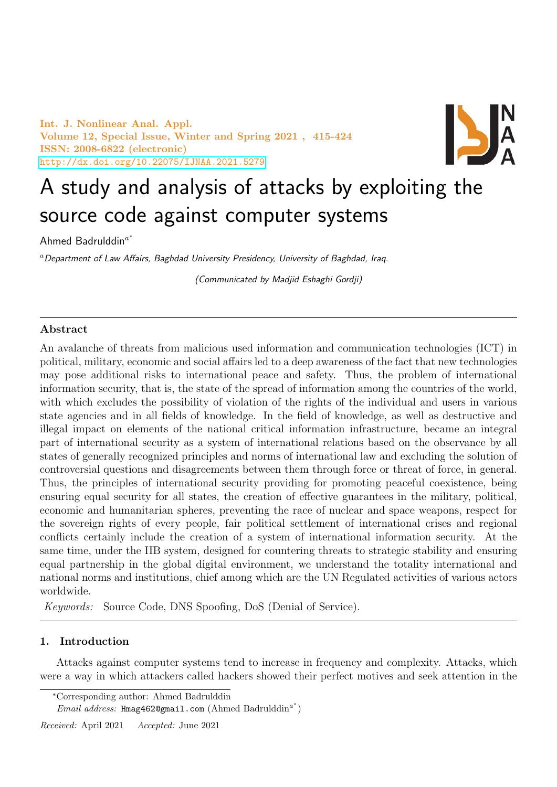Int. J. Nonlinear Anal. Appl. Volume 12, Special Issue, Winter and Spring 2021 , 415-424 ISSN: 2008-6822 (electronic) [http://dx.doi.org/10.22075/IJNAA.2021.5279](http://dx.doi.org/ 10.22075/IJNAA.2021.5279)



# A study and analysis of attacks by exploiting the source code against computer systems

Ahmed Badrulddin $^{a^*}$ 

 $a$  Department of Law Affairs, Baghdad University Presidency, University of Baghdad, Iraq.

(Communicated by Madjid Eshaghi Gordji)

## Abstract

An avalanche of threats from malicious used information and communication technologies (ICT) in political, military, economic and social affairs led to a deep awareness of the fact that new technologies may pose additional risks to international peace and safety. Thus, the problem of international information security, that is, the state of the spread of information among the countries of the world, with which excludes the possibility of violation of the rights of the individual and users in various state agencies and in all fields of knowledge. In the field of knowledge, as well as destructive and illegal impact on elements of the national critical information infrastructure, became an integral part of international security as a system of international relations based on the observance by all states of generally recognized principles and norms of international law and excluding the solution of controversial questions and disagreements between them through force or threat of force, in general. Thus, the principles of international security providing for promoting peaceful coexistence, being ensuring equal security for all states, the creation of effective guarantees in the military, political, economic and humanitarian spheres, preventing the race of nuclear and space weapons, respect for the sovereign rights of every people, fair political settlement of international crises and regional conflicts certainly include the creation of a system of international information security. At the same time, under the IIB system, designed for countering threats to strategic stability and ensuring equal partnership in the global digital environment, we understand the totality international and national norms and institutions, chief among which are the UN Regulated activities of various actors worldwide.

Keywords: Source Code, DNS Spoofing, DoS (Denial of Service).

# 1. Introduction

Attacks against computer systems tend to increase in frequency and complexity. Attacks, which were a way in which attackers called hackers showed their perfect motives and seek attention in the

 $Email \ address: \ \mathtt{Hmag4620gmail.com}$  (Ahmed Badrulddin<sup>a\*</sup>)

Received: April 2021 Accepted: June 2021

<sup>∗</sup>Corresponding author: Ahmed Badrulddin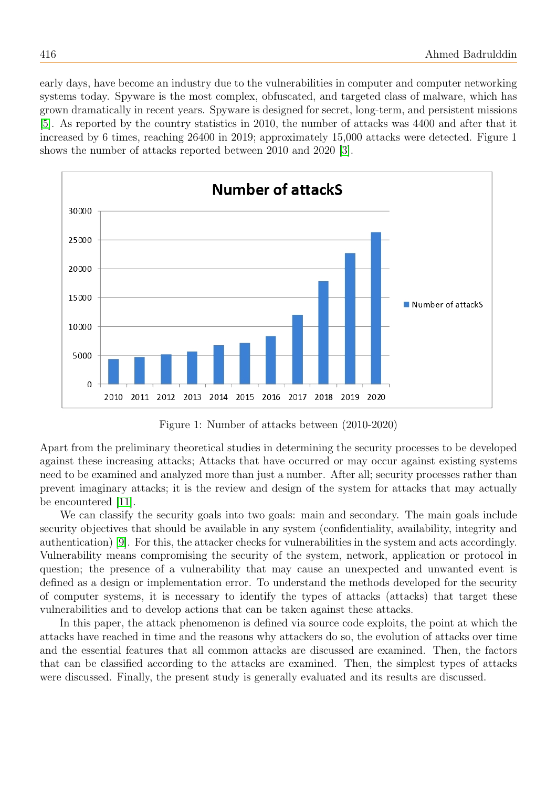early days, have become an industry due to the vulnerabilities in computer and computer networking systems today. Spyware is the most complex, obfuscated, and targeted class of malware, which has grown dramatically in recent years. Spyware is designed for secret, long-term, and persistent missions [\[5\]](#page-8-0). As reported by the country statistics in 2010, the number of attacks was 4400 and after that it increased by 6 times, reaching 26400 in 2019; approximately 15,000 attacks were detected. Figure 1 shows the number of attacks reported between 2010 and 2020 [\[3\]](#page-8-1).



Figure 1: Number of attacks between (2010-2020)

Apart from the preliminary theoretical studies in determining the security processes to be developed against these increasing attacks; Attacks that have occurred or may occur against existing systems need to be examined and analyzed more than just a number. After all; security processes rather than prevent imaginary attacks; it is the review and design of the system for attacks that may actually be encountered [\[11\]](#page-9-0).

We can classify the security goals into two goals: main and secondary. The main goals include security objectives that should be available in any system (confidentiality, availability, integrity and authentication) [\[9\]](#page-9-1). For this, the attacker checks for vulnerabilities in the system and acts accordingly. Vulnerability means compromising the security of the system, network, application or protocol in question; the presence of a vulnerability that may cause an unexpected and unwanted event is defined as a design or implementation error. To understand the methods developed for the security of computer systems, it is necessary to identify the types of attacks (attacks) that target these vulnerabilities and to develop actions that can be taken against these attacks.

In this paper, the attack phenomenon is defined via source code exploits, the point at which the attacks have reached in time and the reasons why attackers do so, the evolution of attacks over time and the essential features that all common attacks are discussed are examined. Then, the factors that can be classified according to the attacks are examined. Then, the simplest types of attacks were discussed. Finally, the present study is generally evaluated and its results are discussed.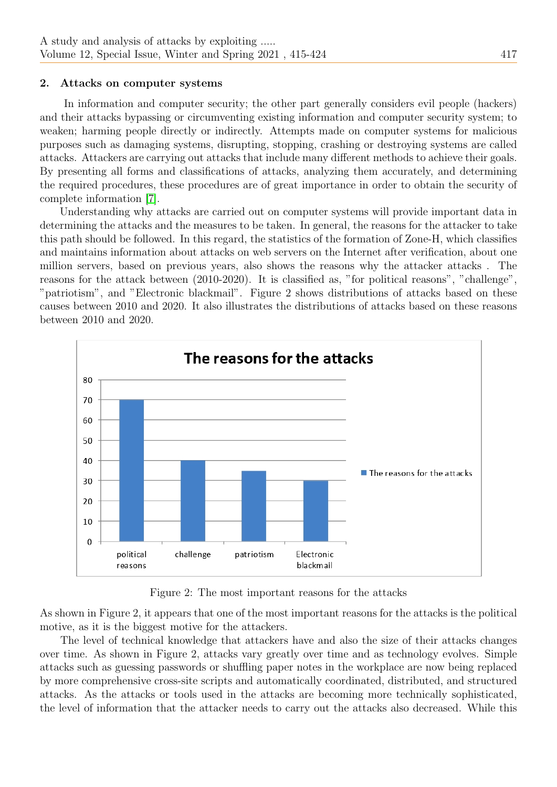## 2. Attacks on computer systems

In information and computer security; the other part generally considers evil people (hackers) and their attacks bypassing or circumventing existing information and computer security system; to weaken; harming people directly or indirectly. Attempts made on computer systems for malicious purposes such as damaging systems, disrupting, stopping, crashing or destroying systems are called attacks. Attackers are carrying out attacks that include many different methods to achieve their goals. By presenting all forms and classifications of attacks, analyzing them accurately, and determining the required procedures, these procedures are of great importance in order to obtain the security of complete information [\[7\]](#page-8-2).

Understanding why attacks are carried out on computer systems will provide important data in determining the attacks and the measures to be taken. In general, the reasons for the attacker to take this path should be followed. In this regard, the statistics of the formation of Zone-H, which classifies and maintains information about attacks on web servers on the Internet after verification, about one million servers, based on previous years, also shows the reasons why the attacker attacks . The reasons for the attack between (2010-2020). It is classified as, "for political reasons", "challenge", "patriotism", and "Electronic blackmail". Figure 2 shows distributions of attacks based on these causes between 2010 and 2020. It also illustrates the distributions of attacks based on these reasons between 2010 and 2020.



Figure 2: The most important reasons for the attacks

As shown in Figure 2, it appears that one of the most important reasons for the attacks is the political motive, as it is the biggest motive for the attackers.

The level of technical knowledge that attackers have and also the size of their attacks changes over time. As shown in Figure 2, attacks vary greatly over time and as technology evolves. Simple attacks such as guessing passwords or shuffling paper notes in the workplace are now being replaced by more comprehensive cross-site scripts and automatically coordinated, distributed, and structured attacks. As the attacks or tools used in the attacks are becoming more technically sophisticated, the level of information that the attacker needs to carry out the attacks also decreased. While this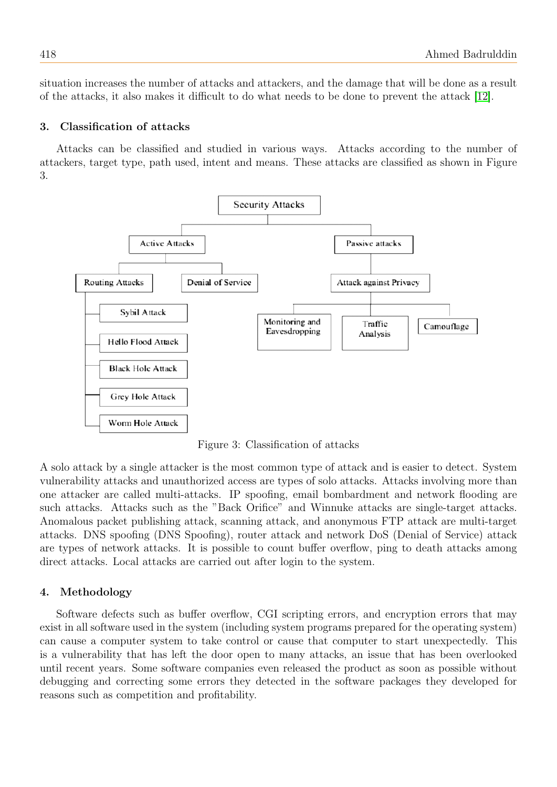situation increases the number of attacks and attackers, and the damage that will be done as a result of the attacks, it also makes it difficult to do what needs to be done to prevent the attack [\[12\]](#page-9-2).

## 3. Classification of attacks

Attacks can be classified and studied in various ways. Attacks according to the number of attackers, target type, path used, intent and means. These attacks are classified as shown in Figure 3.



Figure 3: Classification of attacks

A solo attack by a single attacker is the most common type of attack and is easier to detect. System vulnerability attacks and unauthorized access are types of solo attacks. Attacks involving more than one attacker are called multi-attacks. IP spoofing, email bombardment and network flooding are such attacks. Attacks such as the "Back Orifice" and Winnuke attacks are single-target attacks. Anomalous packet publishing attack, scanning attack, and anonymous FTP attack are multi-target attacks. DNS spoofing (DNS Spoofing), router attack and network DoS (Denial of Service) attack are types of network attacks. It is possible to count buffer overflow, ping to death attacks among direct attacks. Local attacks are carried out after login to the system.

## 4. Methodology

Software defects such as buffer overflow, CGI scripting errors, and encryption errors that may exist in all software used in the system (including system programs prepared for the operating system) can cause a computer system to take control or cause that computer to start unexpectedly. This is a vulnerability that has left the door open to many attacks, an issue that has been overlooked until recent years. Some software companies even released the product as soon as possible without debugging and correcting some errors they detected in the software packages they developed for reasons such as competition and profitability.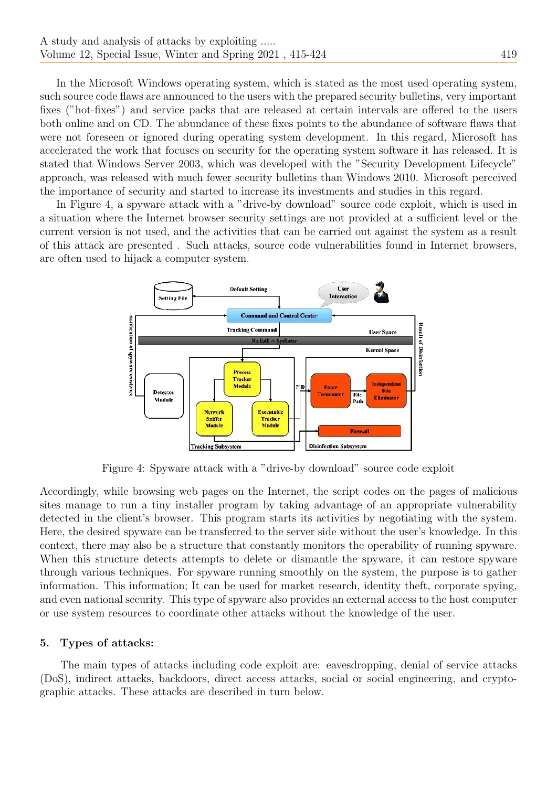In the Microsoft Windows operating system, which is stated as the most used operating system, such source code flaws are announced to the users with the prepared security bulletins, very important fixes ("hot-fixes") and service packs that are released at certain intervals are offered to the users both online and on CD. The abundance of these fixes points to the abundance of software flaws that were not foreseen or ignored during operating system development. In this regard, Microsoft has accelerated the work that focuses on security for the operating system software it has released. It is stated that Windows Server 2003, which was developed with the "Security Development Lifecycle" approach, was released with much fewer security bulletins than Windows 2010. Microsoft perceived the importance of security and started to increase its investments and studies in this regard.

In Figure 4, a spyware attack with a "drive-by download" source code exploit, which is used in a situation where the Internet browser security settings are not provided at a sufficient level or the current version is not used, and the activities that can be carried out against the system as a result of this attack are presented . Such attacks, source code vulnerabilities found in Internet browsers, are often used to hijack a computer system.



Figure 4: Spyware attack with a "drive-by download" source code exploit

Accordingly, while browsing web pages on the Internet, the script codes on the pages of malicious sites manage to run a tiny installer program by taking advantage of an appropriate vulnerability detected in the client's browser. This program starts its activities by negotiating with the system. Here, the desired spyware can be transferred to the server side without the user's knowledge. In this context, there may also be a structure that constantly monitors the operability of running spyware. When this structure detects attempts to delete or dismantle the spyware, it can restore spyware through various techniques. For spyware running smoothly on the system, the purpose is to gather information. This information; It can be used for market research, identity theft, corporate spying, and even national security. This type of spyware also provides an external access to the host computer or use system resources to coordinate other attacks without the knowledge of the user.

## 5. Types of attacks:

The main types of attacks including code exploit are: eavesdropping, denial of service attacks (DoS), indirect attacks, backdoors, direct access attacks, social or social engineering, and cryptographic attacks. These attacks are described in turn below.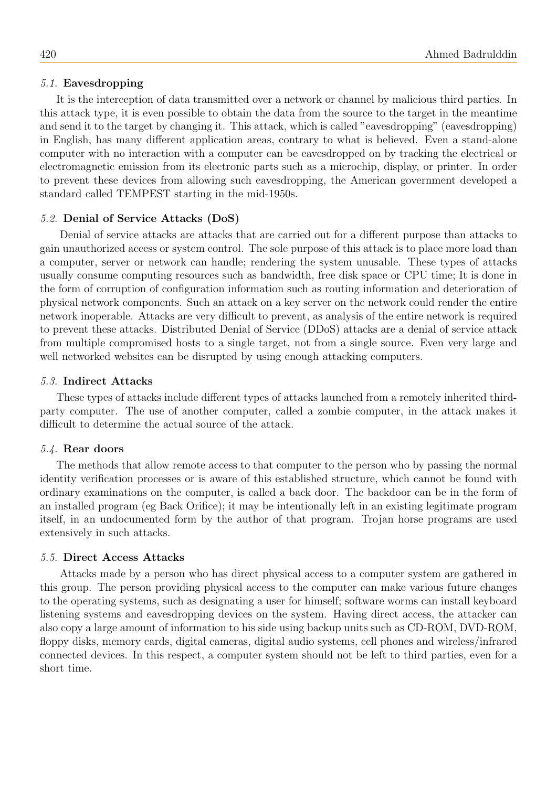## 5.1. Eavesdropping

It is the interception of data transmitted over a network or channel by malicious third parties. In this attack type, it is even possible to obtain the data from the source to the target in the meantime and send it to the target by changing it. This attack, which is called "eavesdropping" (eavesdropping) in English, has many different application areas, contrary to what is believed. Even a stand-alone computer with no interaction with a computer can be eavesdropped on by tracking the electrical or electromagnetic emission from its electronic parts such as a microchip, display, or printer. In order to prevent these devices from allowing such eavesdropping, the American government developed a standard called TEMPEST starting in the mid-1950s.

## 5.2. Denial of Service Attacks (DoS)

Denial of service attacks are attacks that are carried out for a different purpose than attacks to gain unauthorized access or system control. The sole purpose of this attack is to place more load than a computer, server or network can handle; rendering the system unusable. These types of attacks usually consume computing resources such as bandwidth, free disk space or CPU time; It is done in the form of corruption of configuration information such as routing information and deterioration of physical network components. Such an attack on a key server on the network could render the entire network inoperable. Attacks are very difficult to prevent, as analysis of the entire network is required to prevent these attacks. Distributed Denial of Service (DDoS) attacks are a denial of service attack from multiple compromised hosts to a single target, not from a single source. Even very large and well networked websites can be disrupted by using enough attacking computers.

#### 5.3. Indirect Attacks

These types of attacks include different types of attacks launched from a remotely inherited thirdparty computer. The use of another computer, called a zombie computer, in the attack makes it difficult to determine the actual source of the attack.

#### 5.4. Rear doors

The methods that allow remote access to that computer to the person who by passing the normal identity verification processes or is aware of this established structure, which cannot be found with ordinary examinations on the computer, is called a back door. The backdoor can be in the form of an installed program (eg Back Orifice); it may be intentionally left in an existing legitimate program itself, in an undocumented form by the author of that program. Trojan horse programs are used extensively in such attacks.

## 5.5. Direct Access Attacks

Attacks made by a person who has direct physical access to a computer system are gathered in this group. The person providing physical access to the computer can make various future changes to the operating systems, such as designating a user for himself; software worms can install keyboard listening systems and eavesdropping devices on the system. Having direct access, the attacker can also copy a large amount of information to his side using backup units such as CD-ROM, DVD-ROM, floppy disks, memory cards, digital cameras, digital audio systems, cell phones and wireless/infrared connected devices. In this respect, a computer system should not be left to third parties, even for a short time.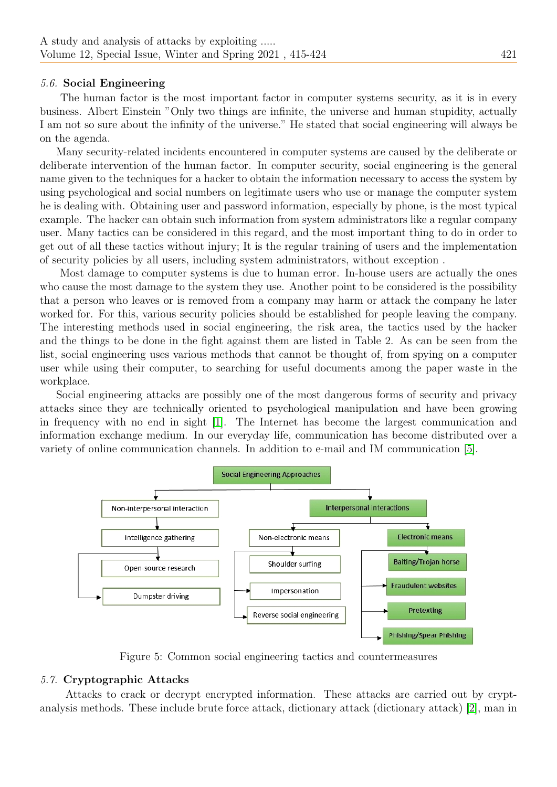## 5.6. Social Engineering

The human factor is the most important factor in computer systems security, as it is in every business. Albert Einstein "Only two things are infinite, the universe and human stupidity, actually I am not so sure about the infinity of the universe." He stated that social engineering will always be on the agenda.

Many security-related incidents encountered in computer systems are caused by the deliberate or deliberate intervention of the human factor. In computer security, social engineering is the general name given to the techniques for a hacker to obtain the information necessary to access the system by using psychological and social numbers on legitimate users who use or manage the computer system he is dealing with. Obtaining user and password information, especially by phone, is the most typical example. The hacker can obtain such information from system administrators like a regular company user. Many tactics can be considered in this regard, and the most important thing to do in order to get out of all these tactics without injury; It is the regular training of users and the implementation of security policies by all users, including system administrators, without exception .

Most damage to computer systems is due to human error. In-house users are actually the ones who cause the most damage to the system they use. Another point to be considered is the possibility that a person who leaves or is removed from a company may harm or attack the company he later worked for. For this, various security policies should be established for people leaving the company. The interesting methods used in social engineering, the risk area, the tactics used by the hacker and the things to be done in the fight against them are listed in Table 2. As can be seen from the list, social engineering uses various methods that cannot be thought of, from spying on a computer user while using their computer, to searching for useful documents among the paper waste in the workplace.

Social engineering attacks are possibly one of the most dangerous forms of security and privacy attacks since they are technically oriented to psychological manipulation and have been growing in frequency with no end in sight [\[1\]](#page-8-3). The Internet has become the largest communication and information exchange medium. In our everyday life, communication has become distributed over a variety of online communication channels. In addition to e-mail and IM communication [\[5\]](#page-8-0).



Figure 5: Common social engineering tactics and countermeasures

# 5.7. Cryptographic Attacks

Attacks to crack or decrypt encrypted information. These attacks are carried out by cryptanalysis methods. These include brute force attack, dictionary attack (dictionary attack) [\[2\]](#page-8-4), man in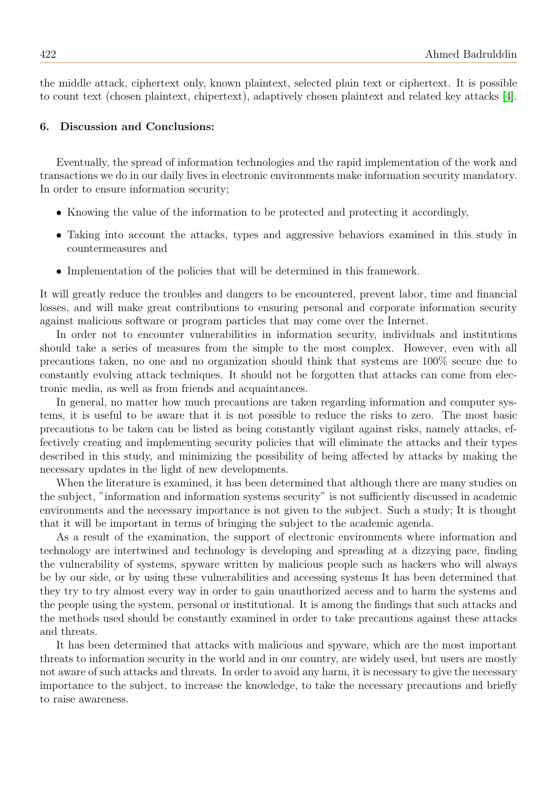the middle attack, ciphertext only, known plaintext, selected plain text or ciphertext. It is possible to count text (chosen plaintext, chipertext), adaptively chosen plaintext and related key attacks [\[4\]](#page-8-5).

#### 6. Discussion and Conclusions:

Eventually, the spread of information technologies and the rapid implementation of the work and transactions we do in our daily lives in electronic environments make information security mandatory. In order to ensure information security;

- Knowing the value of the information to be protected and protecting it accordingly,
- Taking into account the attacks, types and aggressive behaviors examined in this study in countermeasures and
- Implementation of the policies that will be determined in this framework.

It will greatly reduce the troubles and dangers to be encountered, prevent labor, time and financial losses, and will make great contributions to ensuring personal and corporate information security against malicious software or program particles that may come over the Internet.

In order not to encounter vulnerabilities in information security, individuals and institutions should take a series of measures from the simple to the most complex. However, even with all precautions taken, no one and no organization should think that systems are 100% secure due to constantly evolving attack techniques. It should not be forgotten that attacks can come from electronic media, as well as from friends and acquaintances.

In general, no matter how much precautions are taken regarding information and computer systems, it is useful to be aware that it is not possible to reduce the risks to zero. The most basic precautions to be taken can be listed as being constantly vigilant against risks, namely attacks, effectively creating and implementing security policies that will eliminate the attacks and their types described in this study, and minimizing the possibility of being affected by attacks by making the necessary updates in the light of new developments.

When the literature is examined, it has been determined that although there are many studies on the subject, "information and information systems security" is not sufficiently discussed in academic environments and the necessary importance is not given to the subject. Such a study; It is thought that it will be important in terms of bringing the subject to the academic agenda.

As a result of the examination, the support of electronic environments where information and technology are intertwined and technology is developing and spreading at a dizzying pace, finding the vulnerability of systems, spyware written by malicious people such as hackers who will always be by our side, or by using these vulnerabilities and accessing systems It has been determined that they try to try almost every way in order to gain unauthorized access and to harm the systems and the people using the system, personal or institutional. It is among the findings that such attacks and the methods used should be constantly examined in order to take precautions against these attacks and threats.

It has been determined that attacks with malicious and spyware, which are the most important threats to information security in the world and in our country, are widely used, but users are mostly not aware of such attacks and threats. In order to avoid any harm, it is necessary to give the necessary importance to the subject, to increase the knowledge, to take the necessary precautions and briefly to raise awareness.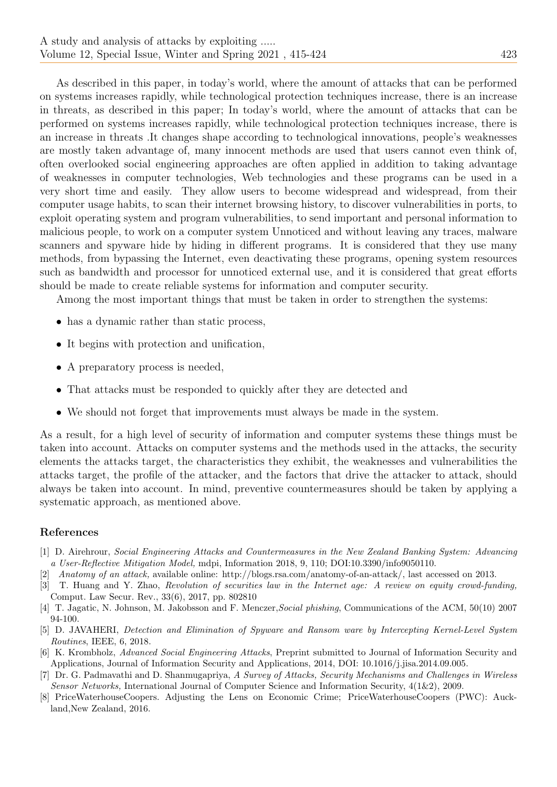As described in this paper, in today's world, where the amount of attacks that can be performed on systems increases rapidly, while technological protection techniques increase, there is an increase in threats, as described in this paper; In today's world, where the amount of attacks that can be performed on systems increases rapidly, while technological protection techniques increase, there is an increase in threats .It changes shape according to technological innovations, people's weaknesses are mostly taken advantage of, many innocent methods are used that users cannot even think of, often overlooked social engineering approaches are often applied in addition to taking advantage of weaknesses in computer technologies, Web technologies and these programs can be used in a very short time and easily. They allow users to become widespread and widespread, from their computer usage habits, to scan their internet browsing history, to discover vulnerabilities in ports, to exploit operating system and program vulnerabilities, to send important and personal information to malicious people, to work on a computer system Unnoticed and without leaving any traces, malware scanners and spyware hide by hiding in different programs. It is considered that they use many methods, from bypassing the Internet, even deactivating these programs, opening system resources such as bandwidth and processor for unnoticed external use, and it is considered that great efforts should be made to create reliable systems for information and computer security.

Among the most important things that must be taken in order to strengthen the systems:

- has a dynamic rather than static process,
- It begins with protection and unification,
- A preparatory process is needed,
- That attacks must be responded to quickly after they are detected and
- We should not forget that improvements must always be made in the system.

As a result, for a high level of security of information and computer systems these things must be taken into account. Attacks on computer systems and the methods used in the attacks, the security elements the attacks target, the characteristics they exhibit, the weaknesses and vulnerabilities the attacks target, the profile of the attacker, and the factors that drive the attacker to attack, should always be taken into account. In mind, preventive countermeasures should be taken by applying a systematic approach, as mentioned above.

## References

- <span id="page-8-3"></span>[1] D. Airehrour, Social Engineering Attacks and Countermeasures in the New Zealand Banking System: Advancing a User-Reflective Mitigation Model, mdpi, Information 2018, 9, 110; DOI:10.3390/info9050110.
- <span id="page-8-4"></span>[2] Anatomy of an attack, available online: http://blogs.rsa.com/anatomy-of-an-attack/, last accessed on 2013.
- <span id="page-8-1"></span>[3] T. Huang and Y. Zhao, Revolution of securities law in the Internet age: A review on equity crowd-funding, Comput. Law Secur. Rev., 33(6), 2017, pp. 802810
- <span id="page-8-5"></span>[4] T. Jagatic, N. Johnson, M. Jakobsson and F. Menczer,Social phishing, Communications of the ACM, 50(10) 2007 94-100.
- <span id="page-8-0"></span>[5] D. JAVAHERI, Detection and Elimination of Spyware and Ransom ware by Intercepting Kernel-Level System Routines, IEEE, 6, 2018.
- [6] K. Krombholz, Advanced Social Engineering Attacks, Preprint submitted to Journal of Information Security and Applications, Journal of Information Security and Applications, 2014, DOI: 10.1016/j.jisa.2014.09.005.
- <span id="page-8-2"></span>[7] Dr. G. Padmavathi and D. Shanmugapriya, A Survey of Attacks, Security Mechanisms and Challenges in Wireless Sensor Networks, International Journal of Computer Science and Information Security, 4(1&2), 2009.
- [8] PriceWaterhouseCoopers. Adjusting the Lens on Economic Crime; PriceWaterhouseCoopers (PWC): Auckland, New Zealand, 2016.